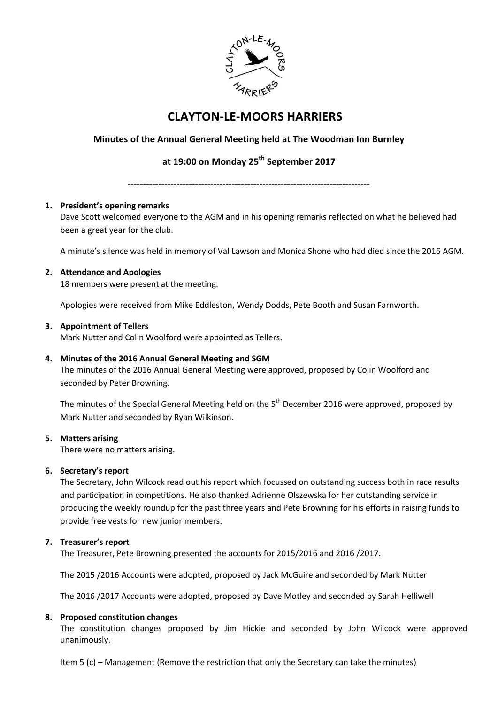

# **CLAYTON-LE-MOORS HARRIERS**

# **Minutes of the Annual General Meeting held at The Woodman Inn Burnley**

# **at 19:00 on Monday 25 th September 2017**

**-------------------------------------------------------------------------------**

# **1. President's opening remarks**

Dave Scott welcomed everyone to the AGM and in his opening remarks reflected on what he believed had been a great year for the club.

A minute's silence was held in memory of Val Lawson and Monica Shone who had died since the 2016 AGM.

# **2. Attendance and Apologies**

18 members were present at the meeting.

Apologies were received from Mike Eddleston, Wendy Dodds, Pete Booth and Susan Farnworth.

# **3. Appointment of Tellers**

Mark Nutter and Colin Woolford were appointed as Tellers.

# **4. Minutes of the 2016 Annual General Meeting and SGM**

The minutes of the 2016 Annual General Meeting were approved, proposed by Colin Woolford and seconded by Peter Browning.

The minutes of the Special General Meeting held on the 5<sup>th</sup> December 2016 were approved, proposed by Mark Nutter and seconded by Ryan Wilkinson.

#### **5. Matters arising**

There were no matters arising.

#### **6. Secretary's report**

The Secretary, John Wilcock read out his report which focussed on outstanding success both in race results and participation in competitions. He also thanked Adrienne Olszewska for her outstanding service in producing the weekly roundup for the past three years and Pete Browning for his efforts in raising funds to provide free vests for new junior members.

# **7. Treasurer's report**

The Treasurer, Pete Browning presented the accounts for 2015/2016 and 2016 /2017.

The 2015 /2016 Accounts were adopted, proposed by Jack McGuire and seconded by Mark Nutter

The 2016 /2017 Accounts were adopted, proposed by Dave Motley and seconded by Sarah Helliwell

#### **8. Proposed constitution changes**

The constitution changes proposed by Jim Hickie and seconded by John Wilcock were approved unanimously.

Item 5 (c) – Management (Remove the restriction that only the Secretary can take the minutes)